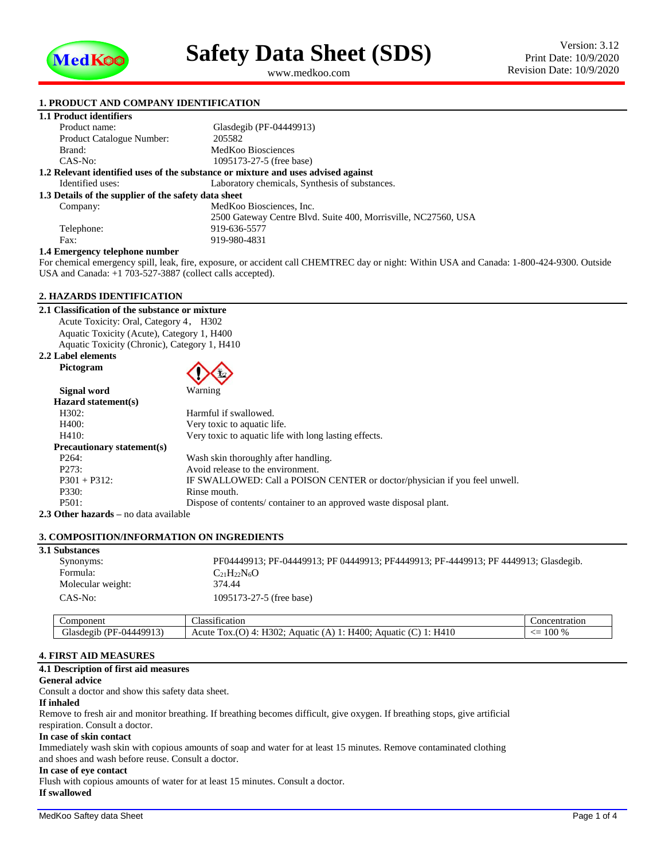

<span id="page-0-1"></span><span id="page-0-0"></span>www.medkoo.com

# **1. PRODUCT AND COMPANY IDENTIFICATION**

|--|

| Product name:                                        | Glasdegib (PF-04449913)                                                           |  |  |  |
|------------------------------------------------------|-----------------------------------------------------------------------------------|--|--|--|
| <b>Product Catalogue Number:</b>                     | 205582                                                                            |  |  |  |
| Brand:                                               | MedKoo Biosciences                                                                |  |  |  |
| $CAS-No:$                                            | 1095173-27-5 (free base)                                                          |  |  |  |
|                                                      | 1.2 Relevant identified uses of the substance or mixture and uses advised against |  |  |  |
| Identified uses:                                     | Laboratory chemicals, Synthesis of substances.                                    |  |  |  |
| 1.3 Details of the supplier of the safety data sheet |                                                                                   |  |  |  |
| Company:                                             | MedKoo Biosciences, Inc.                                                          |  |  |  |
|                                                      | 2500 Gateway Centre Blvd. Suite 400, Morrisville, NC27560, USA                    |  |  |  |
| Telephone:                                           | 919-636-5577                                                                      |  |  |  |
| Fax:                                                 | 919-980-4831                                                                      |  |  |  |
| .<br>.                                               |                                                                                   |  |  |  |

#### **1.4 Emergency telephone number**

For chemical emergency spill, leak, fire, exposure, or accident call CHEMTREC day or night: Within USA and Canada: 1-800-424-9300. Outside USA and Canada: +1 703-527-3887 (collect calls accepted).

# **2. HAZARDS IDENTIFICATION**

**2.1 Classification of the substance or mixture** Acute Toxicity: Oral, Category 4, H302 Aquatic Toxicity (Acute), Category 1, H400 Aquatic Toxicity (Chronic), Category 1, H410

**2.2 Label elements Pictogram**



| Signal word                               | Warning                                                                    |
|-------------------------------------------|----------------------------------------------------------------------------|
| Hazard statement(s)                       |                                                                            |
| H302:                                     | Harmful if swallowed.                                                      |
| H400:                                     | Very toxic to aquatic life.                                                |
| H410:                                     | Very toxic to aquatic life with long lasting effects.                      |
| <b>Precautionary statement(s)</b>         |                                                                            |
| P <sub>264</sub> :                        | Wash skin thoroughly after handling.                                       |
| P273:                                     | Avoid release to the environment.                                          |
| $P301 + P312$ :                           | IF SWALLOWED: Call a POISON CENTER or doctor/physician if you feel unwell. |
| P330:                                     | Rinse mouth.                                                               |
| P501:                                     | Dispose of contents/container to an approved waste disposal plant.         |
| $\Omega$ ther hazards – no data available |                                                                            |

**2.3 Other hazards –** no data available

## **3. COMPOSITION/INFORMATION ON INGREDIENTS**

| <b>3.1 Substances</b> |                                                                                    |
|-----------------------|------------------------------------------------------------------------------------|
| Synonyms:             | PF04449913; PF-04449913; PF 04449913; PF4449913; PF-4449913; PF4449913; Glasdegib. |
| Formula:              | $C_{21}H_{22}N_6O$                                                                 |
| Molecular weight:     | 374.44                                                                             |
| CAS-No:               | 1095173-27-5 (free base)                                                           |
|                       |                                                                                    |

| Component                                         | $\cdot$<br>$\sim$<br>Classification                                                                                             | Concentration          |
|---------------------------------------------------|---------------------------------------------------------------------------------------------------------------------------------|------------------------|
| A1<br>$-11444991$ <sup>2</sup><br>Æ<br>plasdegirد | <b>π302-</b><br>H410<br>H400:<br>$\sim$<br>$\tilde{\phantom{a}}$<br>Acute<br>. .<br>Aquatic<br>Aquatic<br>. UA.I<br>◡<br>$\sim$ | $\sim$<br>100 %<br>. — |
|                                                   |                                                                                                                                 |                        |

# **4. FIRST AID MEASURES**

# **4.1 Description of first aid measures**

# **General advice**

Consult a doctor and show this safety data sheet.

#### **If inhaled**

Remove to fresh air and monitor breathing. If breathing becomes difficult, give oxygen. If breathing stops, give artificial respiration. Consult a doctor.

#### **In case of skin contact**

Immediately wash skin with copious amounts of soap and water for at least 15 minutes. Remove contaminated clothing and shoes and wash before reuse. Consult a doctor.

#### **In case of eye contact**

Flush with copious amounts of water for at least 15 minutes. Consult a doctor. **If swallowed**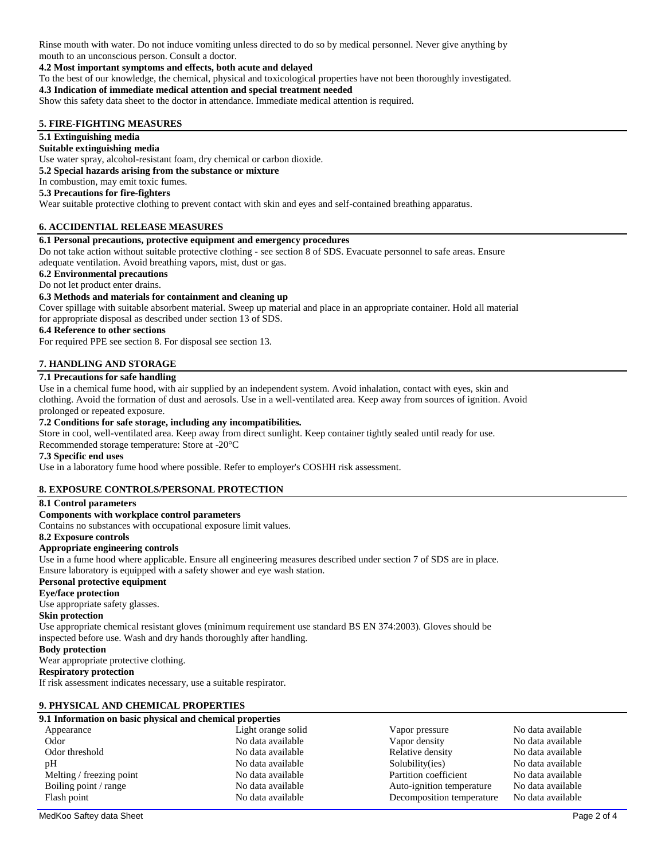Rinse mouth with water. Do not induce vomiting unless directed to do so by medical personnel. Never give anything by mouth to an unconscious person. Consult a doctor.

#### **4.2 Most important symptoms and effects, both acute and delayed**

To the best of our knowledge, the chemical, physical and toxicological properties have not been thoroughly investigated.

### **4.3 Indication of immediate medical attention and special treatment needed**

Show this safety data sheet to the doctor in attendance. Immediate medical attention is required.

## **5. FIRE-FIGHTING MEASURES**

# **5.1 Extinguishing media**

#### **Suitable extinguishing media**

Use water spray, alcohol-resistant foam, dry chemical or carbon dioxide.

# **5.2 Special hazards arising from the substance or mixture**

In combustion, may emit toxic fumes.

# **5.3 Precautions for fire-fighters**

Wear suitable protective clothing to prevent contact with skin and eyes and self-contained breathing apparatus.

### **6. ACCIDENTIAL RELEASE MEASURES**

### **6.1 Personal precautions, protective equipment and emergency procedures**

Do not take action without suitable protective clothing - see section 8 of SDS. Evacuate personnel to safe areas. Ensure adequate ventilation. Avoid breathing vapors, mist, dust or gas.

# **6.2 Environmental precautions**

Do not let product enter drains.

# **6.3 Methods and materials for containment and cleaning up**

Cover spillage with suitable absorbent material. Sweep up material and place in an appropriate container. Hold all material for appropriate disposal as described under section 13 of SDS.

#### **6.4 Reference to other sections**

For required PPE see section 8. For disposal see section 13.

# **7. HANDLING AND STORAGE**

# **7.1 Precautions for safe handling**

Use in a chemical fume hood, with air supplied by an independent system. Avoid inhalation, contact with eyes, skin and clothing. Avoid the formation of dust and aerosols. Use in a well-ventilated area. Keep away from sources of ignition. Avoid prolonged or repeated exposure.

#### **7.2 Conditions for safe storage, including any incompatibilities.**

Store in cool, well-ventilated area. Keep away from direct sunlight. Keep container tightly sealed until ready for use.

Recommended storage temperature: Store at -20°C

#### **7.3 Specific end uses**

Use in a laboratory fume hood where possible. Refer to employer's COSHH risk assessment.

#### **8. EXPOSURE CONTROLS/PERSONAL PROTECTION**

#### **8.1 Control parameters**

#### **Components with workplace control parameters**

Contains no substances with occupational exposure limit values.

# **8.2 Exposure controls**

#### **Appropriate engineering controls**

Use in a fume hood where applicable. Ensure all engineering measures described under section 7 of SDS are in place. Ensure laboratory is equipped with a safety shower and eye wash station.

# **Personal protective equipment**

**Eye/face protection**

Use appropriate safety glasses.

#### **Skin protection**

Use appropriate chemical resistant gloves (minimum requirement use standard BS EN 374:2003). Gloves should be inspected before use. Wash and dry hands thoroughly after handling.

#### **Body protection**

Wear appropriate protective clothing.

# **Respiratory protection**

If risk assessment indicates necessary, use a suitable respirator.

# **9. PHYSICAL AND CHEMICAL PROPERTIES**

| 9.1 Information on basic physical and chemical properties |                    |                           |                   |  |  |  |  |
|-----------------------------------------------------------|--------------------|---------------------------|-------------------|--|--|--|--|
| Appearance                                                | Light orange solid | Vapor pressure            | No data available |  |  |  |  |
| Odor                                                      | No data available  | Vapor density             | No data available |  |  |  |  |
| Odor threshold                                            | No data available  | Relative density          | No data available |  |  |  |  |
| pH                                                        | No data available  | Solubility(ies)           | No data available |  |  |  |  |
| Melting / freezing point                                  | No data available  | Partition coefficient     | No data available |  |  |  |  |
| Boiling point / range                                     | No data available  | Auto-ignition temperature | No data available |  |  |  |  |
| Flash point                                               | No data available  | Decomposition temperature | No data available |  |  |  |  |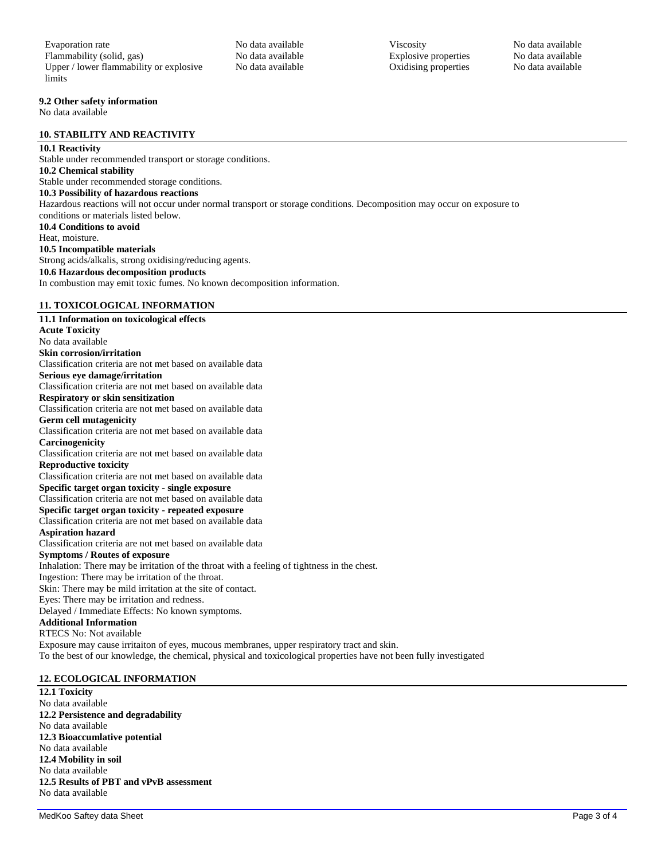# **9.2 Other safety information**

No data available

## **10. STABILITY AND REACTIVITY**

# **10.1 Reactivity**

Stable under recommended transport or storage conditions. **10.2 Chemical stability** Stable under recommended storage conditions. **10.3 Possibility of hazardous reactions** Hazardous reactions will not occur under normal transport or storage conditions. Decomposition may occur on exposure to conditions or materials listed below. **10.4 Conditions to avoid** Heat, moisture. **10.5 Incompatible materials** Strong acids/alkalis, strong oxidising/reducing agents. **10.6 Hazardous decomposition products** In combustion may emit toxic fumes. No known decomposition information.

# **11. TOXICOLOGICAL INFORMATION**

# **11.1 Information on toxicological effects Acute Toxicity** No data available **Skin corrosion/irritation** Classification criteria are not met based on available data **Serious eye damage/irritation** Classification criteria are not met based on available data **Respiratory or skin sensitization** Classification criteria are not met based on available data **Germ cell mutagenicity** Classification criteria are not met based on available data **Carcinogenicity** Classification criteria are not met based on available data **Reproductive toxicity** Classification criteria are not met based on available data **Specific target organ toxicity - single exposure** Classification criteria are not met based on available data **Specific target organ toxicity - repeated exposure** Classification criteria are not met based on available data **Aspiration hazard** Classification criteria are not met based on available data **Symptoms / Routes of exposure** Inhalation: There may be irritation of the throat with a feeling of tightness in the chest. Ingestion: There may be irritation of the throat. Skin: There may be mild irritation at the site of contact. Eyes: There may be irritation and redness. Delayed / Immediate Effects: No known symptoms. **Additional Information** RTECS No: Not available Exposure may cause irritaiton of eyes, mucous membranes, upper respiratory tract and skin. To the best of our knowledge, the chemical, physical and toxicological properties have not been fully investigated

# **12. ECOLOGICAL INFORMATION**

**12.1 Toxicity** No data available **12.2 Persistence and degradability** No data available **12.3 Bioaccumlative potential** No data available **12.4 Mobility in soil** No data available **12.5 Results of PBT and vPvB assessment** No data available